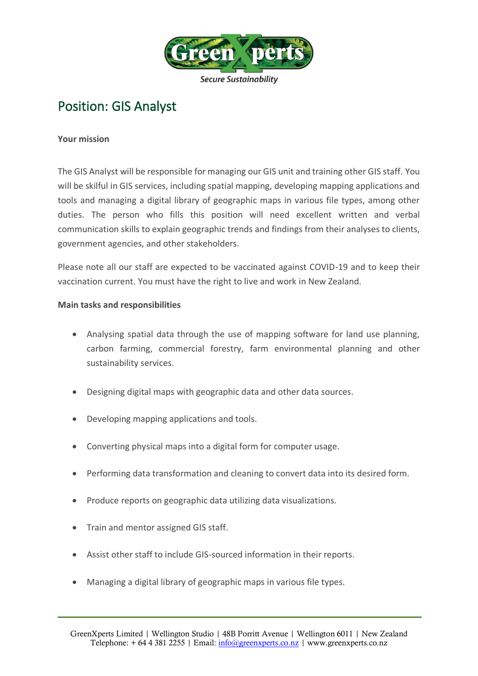

# Position: GIS Analyst

## **Your mission**

The GIS Analyst will be responsible for managing our GIS unit and training other GIS staff. You will be skilful in GIS services, including spatial mapping, developing mapping applications and tools and managing a digital library of geographic maps in various file types, among other duties. The person who fills this position will need excellent written and verbal communication skills to explain geographic trends and findings from their analyses to clients, government agencies, and other stakeholders.

Please note all our staff are expected to be vaccinated against COVID-19 and to keep their vaccination current. You must have the right to live and work in New Zealand.

### **Main tasks and responsibilities**

- Analysing spatial data through the use of mapping software for land use planning, carbon farming, commercial forestry, farm environmental planning and other sustainability services.
- Designing digital maps with geographic data and other data sources.
- Developing mapping applications and tools.
- Converting physical maps into a digital form for computer usage.
- Performing data transformation and cleaning to convert data into its desired form.
- Produce reports on geographic data utilizing data visualizations.
- Train and mentor assigned GIS staff.
- Assist other staff to include GIS-sourced information in their reports.
- Managing a digital library of geographic maps in various file types.